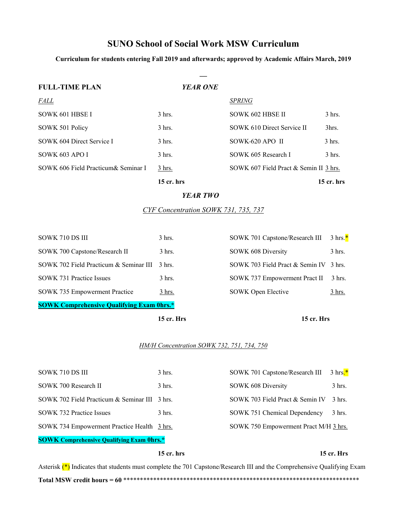# **SUNO School of Social Work MSW Curriculum**

**Curriculum for students entering Fall 2019 and afterwards; approved by Academic Affairs March, 2019**

| <b>FULL-TIME PLAN</b>                | <b>YEAR ONE</b> |                                        |                  |
|--------------------------------------|-----------------|----------------------------------------|------------------|
| <i>FALL</i>                          |                 | <b>SPRING</b>                          |                  |
| SOWK 601 HBSE I                      | $3$ hrs.        | SOWK 602 HBSE II                       | $3$ hrs.         |
| SOWK 501 Policy                      | $3$ hrs.        | SOWK 610 Direct Service II             | 3hrs.            |
| SOWK 604 Direct Service I            | $3$ hrs.        | SOWK-620 APO II                        | $3 \text{ hrs.}$ |
| SOWK 603 APO I                       | $3$ hrs.        | SOWK 605 Research I                    | $3$ hrs.         |
| SOWK 606 Field Practicum & Seminar I | $3$ hrs.        | SOWK 607 Field Pract & Semin II 3 hrs. |                  |
|                                      | $15$ cr. hrs    |                                        | $15$ cr. hrs     |

#### *YEAR TWO*

*CYF Concentration SOWK 731, 735, 737* 

|                                                  | 15 cr. Hrs       | 15 cr. Hrs                      |                    |  |  |  |
|--------------------------------------------------|------------------|---------------------------------|--------------------|--|--|--|
| <b>SOWK Comprehensive Qualifying Exam 0hrs.*</b> |                  |                                 |                    |  |  |  |
| SOWK 735 Empowerment Practice                    | 3 hrs.           | SOWK Open Elective              | 3 hrs.             |  |  |  |
| SOWK 731 Practice Issues                         | $3 \text{ hrs.}$ | SOWK 737 Empowerment Pract II   | $3 \text{ hrs.}$   |  |  |  |
| SOWK 702 Field Practicum & Seminar III           | $-3$ hrs.        | SOWK 703 Field Pract & Semin IV | - 3 hrs.           |  |  |  |
| SOWK 700 Capstone/Research II                    | $3 \text{ hrs.}$ | SOWK 608 Diversity              | $3$ hrs.           |  |  |  |
| SOWK 710 DS III                                  | $3$ hrs.         | SOWK 701 Capstone/Research III  | $3 \text{ hrs.}^*$ |  |  |  |

### *HM/H Concentration SOWK 732, 751, 734, 750*

| SOWK 710 DS III                               | $3$ hrs.         | SOWK 701 Capstone/Research III        | $3 \text{ hrs.}^*$ |
|-----------------------------------------------|------------------|---------------------------------------|--------------------|
| SOWK 700 Research II                          | $3 \text{ hrs.}$ | SOWK 608 Diversity                    | $3 \text{ hrs.}$   |
| SOWK 702 Field Practicum & Seminar III 3 hrs. |                  | SOWK 703 Field Pract & Semin IV       | $3 \text{ hrs.}$   |
| SOWK 732 Practice Issues                      | $3 \text{ hrs.}$ | SOWK 751 Chemical Dependency          | $3 \text{ hrs.}$   |
| SOWK 734 Empowerment Practice Health 3 hrs.   |                  | SOWK 750 Empowerment Pract M/H 3 hrs. |                    |
|                                               |                  |                                       |                    |

## **SOWK Comprehensive Qualifying Exam 0hrs.\***

### **15 cr. hrs 15 cr. Hrs**

Asterisk  $(*)$  Indicates that students must complete the 701 Capstone/Research III and the Comprehensive Qualifying Exam **Total MSW credit hours = 60** \*\*\*\*\*\*\*\*\*\*\*\*\*\*\*\*\*\*\*\*\*\*\*\*\*\*\*\*\*\*\*\*\*\*\*\*\*\*\*\*\*\*\*\*\*\*\*\*\*\*\*\*\*\*\*\*\*\*\*\*\*\*\*\*\*\*\*\*\*\*\*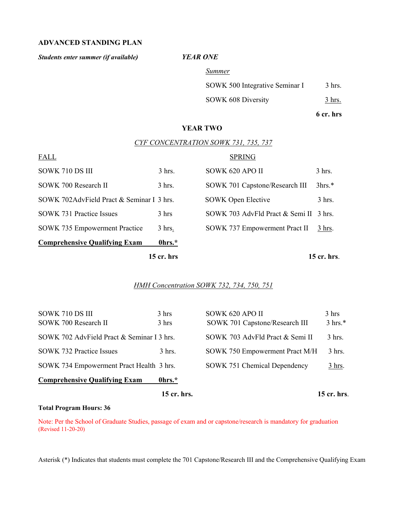## **ADVANCED STANDING PLAN**

*Students enter summer (if available) YEAR ONE*

*Summer*

SOWK 500 Integrative Seminar I 3 hrs.

SOWK 608 Diversity 3 hrs.

**6 cr. hrs**

## **YEAR TWO**

## *CYF CONCENTRATION SOWK 731, 735, 737*

|                                           | $15$ cr. hrs |                                        | 15 cr. hrs.    |
|-------------------------------------------|--------------|----------------------------------------|----------------|
| <b>Comprehensive Qualifying Exam</b>      | 0hrs.*       |                                        |                |
| <b>SOWK 735 Empowerment Practice</b>      | $3$ hrs.     | SOWK 737 Empowerment Pract II          | 3 hrs.         |
| <b>SOWK 731 Practice Issues</b>           | 3 hrs        | SOWK 703 AdvFld Pract & Semi II 3 hrs. |                |
| SOWK 702AdvField Pract & Seminar I 3 hrs. |              | <b>SOWK Open Elective</b>              | $3$ hrs.       |
| SOWK 700 Research II                      | $3$ hrs.     | SOWK 701 Capstone/Research III         | 3 <sup>h</sup> |
| SOWK 710 DS III                           | $3$ hrs.     | SOWK 620 APO II                        | $3$ hrs.       |
| <b>FALL</b>                               |              | <b>SPRING</b>                          |                |

## *HMH Concentration SOWK 732, 734, 750, 751*

|                                            | 15 cr. hrs.     |                                 | 15 cr. hrs.        |
|--------------------------------------------|-----------------|---------------------------------|--------------------|
| <b>Comprehensive Qualifying Exam</b>       | 0hrs.*          |                                 |                    |
| SOWK 734 Empowerment Pract Health 3 hrs.   |                 | SOWK 751 Chemical Dependency    | $3$ hrs.           |
| <b>SOWK 732 Practice Issues</b>            | $3$ hrs.        | SOWK 750 Empowerment Pract M/H  | $3$ hrs.           |
| SOWK 702 AdvField Pract & Seminar I 3 hrs. |                 | SOWK 703 AdvFld Pract & Semi II | $3$ hrs.           |
| SOWK 700 Research II                       | $3 \text{ hrs}$ | SOWK 701 Capstone/Research III  | $3 \text{ hrs.}^*$ |
| SOWK 710 DS III                            | 3 hrs           | SOWK 620 APO II                 | 3 hrs              |

### **Total Program Hours: 36**

Note: Per the School of Graduate Studies, passage of exam and or capstone/research is mandatory for graduation (Revised 11-20-20)

Asterisk (\*) Indicates that students must complete the 701 Capstone/Research III and the Comprehensive Qualifying Exam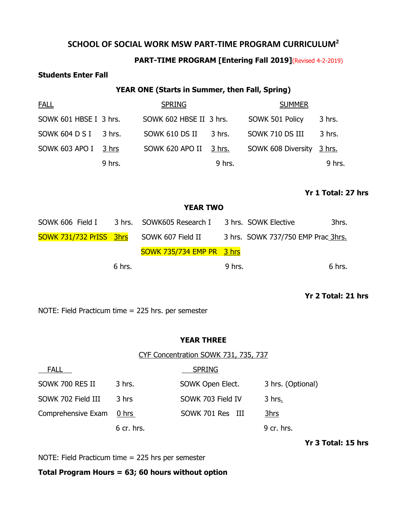## **SCHOOL OF SOCIAL WORK MSW PART-TIME PROGRAM CURRICULUM2**

## **PART-TIME PROGRAM [Entering Fall 2019]**(Revised 4-2-2019)

## **Students Enter Fall**

## **YEAR ONE (Starts in Summer, then Fall, Spring)**

| <b>FALL</b>            |        | <b>SPRING</b>           |        | <b>SUMMER</b>             |        |
|------------------------|--------|-------------------------|--------|---------------------------|--------|
| SOWK 601 HBSE I 3 hrs. |        | SOWK 602 HBSE II 3 hrs. |        | SOWK 501 Policy           | 3 hrs. |
| SOWK 604 D S I 3 hrs.  |        | SOWK 610 DS II          | 3 hrs. | SOWK 710 DS III           | 3 hrs. |
| SOWK 603 APO I 3 hrs   |        | SOWK 620 APO II 3 hrs.  |        | SOWK 608 Diversity 3 hrs. |        |
|                        | 9 hrs. |                         | 9 hrs. |                           | 9 hrs. |

## **Yr 1 Total: 27 hrs**

## **YEAR TWO**

| SOWK 606 Field I                          |        | 3 hrs. SOWK605 Research I        |          | 3 hrs. SOWK Elective               | 3hrs.  |
|-------------------------------------------|--------|----------------------------------|----------|------------------------------------|--------|
| SOWK 731/732 PrISS 3hrs SOWK 607 Field II |        |                                  |          | 3 hrs. SOWK 737/750 EMP Prac 3hrs. |        |
|                                           |        | <b>SOWK 735/734 EMP PR 3 hrs</b> |          |                                    |        |
|                                           | 6 hrs. |                                  | $9$ hrs. |                                    | 6 hrs. |

## **Yr 2 Total: 21 hrs**

NOTE: Field Practicum time = 225 hrs. per semester

## **YEAR THREE**

CYF Concentration SOWK 731, 735, 737

| <b>FALL</b>        |              | <b>SPRING</b>     |                   |
|--------------------|--------------|-------------------|-------------------|
| SOWK 700 RES II    | 3 hrs.       | SOWK Open Elect.  | 3 hrs. (Optional) |
| SOWK 702 Field III | 3 hrs        | SOWK 703 Field IV | 3 hrs.            |
| Comprehensive Exam | 0 hrs        | SOWK 701 Res III  | 3hrs              |
|                    | $6$ cr. hrs. |                   | 9 cr. hrs.        |

**Yr 3 Total: 15 hrs**

NOTE: Field Practicum time = 225 hrs per semester

## **Total Program Hours = 63; 60 hours without option**